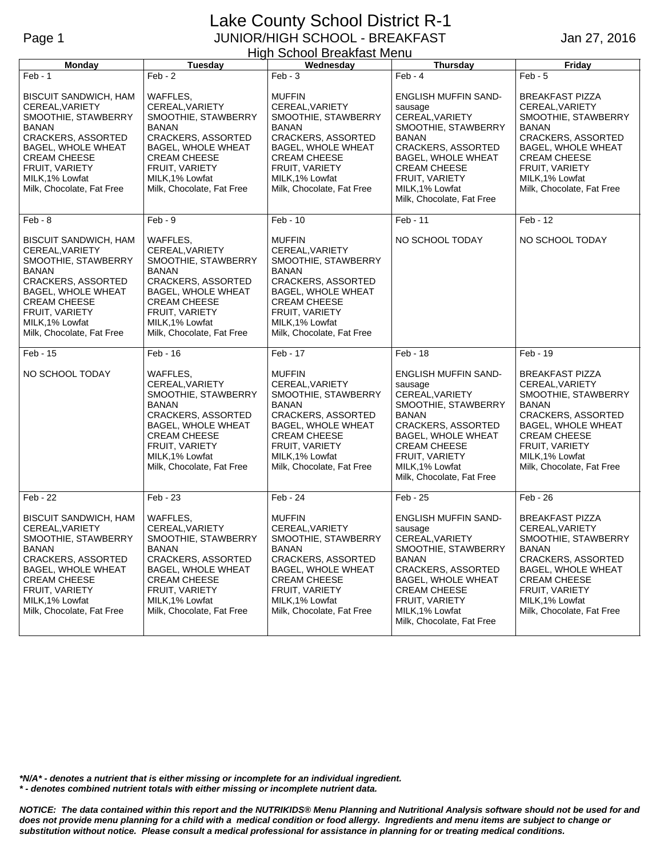## Lake County School District R-1 Page 1 JUNIOR/HIGH SCHOOL - BREAKFAST High School Breakfast Menu

Jan 27, 2016

| Monday                                                                                                                                                                                                                      | Tuesday                                                                                                                                                                                                 | . g sonoo. Broaniao: ona<br>Wednesday                                                                                                                                                                                      | Thursday                                                                                                                                                                                                                                            | Friday                                                                                                                                                                                                                              |
|-----------------------------------------------------------------------------------------------------------------------------------------------------------------------------------------------------------------------------|---------------------------------------------------------------------------------------------------------------------------------------------------------------------------------------------------------|----------------------------------------------------------------------------------------------------------------------------------------------------------------------------------------------------------------------------|-----------------------------------------------------------------------------------------------------------------------------------------------------------------------------------------------------------------------------------------------------|-------------------------------------------------------------------------------------------------------------------------------------------------------------------------------------------------------------------------------------|
| $Feb - 1$                                                                                                                                                                                                                   | $Feb - 2$                                                                                                                                                                                               | $Feb - 3$                                                                                                                                                                                                                  | $Feb - 4$                                                                                                                                                                                                                                           | $Feb - 5$                                                                                                                                                                                                                           |
| <b>BISCUIT SANDWICH, HAM</b><br>CEREAL, VARIETY<br>SMOOTHIE, STAWBERRY<br>BANAN<br><b>CRACKERS, ASSORTED</b><br>BAGEL, WHOLE WHEAT<br><b>CREAM CHEESE</b><br>FRUIT, VARIETY<br>MILK, 1% Lowfat<br>Milk, Chocolate, Fat Free | WAFFLES,<br>CEREAL, VARIETY<br>SMOOTHIE, STAWBERRY<br>BANAN<br><b>CRACKERS, ASSORTED</b><br>BAGEL, WHOLE WHEAT<br><b>CREAM CHEESE</b><br>FRUIT, VARIETY<br>MILK, 1% Lowfat<br>Milk, Chocolate, Fat Free | <b>MUFFIN</b><br>CEREAL, VARIETY<br>SMOOTHIE, STAWBERRY<br>BANAN<br><b>CRACKERS, ASSORTED</b><br><b>BAGEL, WHOLE WHEAT</b><br><b>CREAM CHEESE</b><br>FRUIT, VARIETY<br>MILK, 1% Lowfat<br>Milk, Chocolate, Fat Free        | <b>ENGLISH MUFFIN SAND-</b><br>sausage<br>CEREAL, VARIETY<br>SMOOTHIE, STAWBERRY<br>BANAN<br><b>CRACKERS, ASSORTED</b><br>BAGEL, WHOLE WHEAT<br><b>CREAM CHEESE</b><br>FRUIT, VARIETY<br>MILK, 1% Lowfat<br>Milk, Chocolate, Fat Free               | <b>BREAKFAST PIZZA</b><br>CEREAL, VARIETY<br>SMOOTHIE, STAWBERRY<br><b>BANAN</b><br><b>CRACKERS, ASSORTED</b><br><b>BAGEL, WHOLE WHEAT</b><br><b>CREAM CHEESE</b><br>FRUIT, VARIETY<br>MILK, 1% Lowfat<br>Milk, Chocolate, Fat Free |
| $Feb - 8$                                                                                                                                                                                                                   | $Feb - 9$                                                                                                                                                                                               | Feb - 10                                                                                                                                                                                                                   | Feb - 11                                                                                                                                                                                                                                            | Feb - 12                                                                                                                                                                                                                            |
| <b>BISCUIT SANDWICH, HAM</b><br>CEREAL, VARIETY<br>SMOOTHIE, STAWBERRY<br>BANAN<br><b>CRACKERS, ASSORTED</b><br>BAGEL, WHOLE WHEAT<br><b>CREAM CHEESE</b><br>FRUIT, VARIETY<br>MILK, 1% Lowfat<br>Milk, Chocolate, Fat Free | WAFFLES,<br>CEREAL, VARIETY<br>SMOOTHIE, STAWBERRY<br><b>BANAN</b><br>CRACKERS, ASSORTED<br>BAGEL, WHOLE WHEAT<br><b>CREAM CHEESE</b><br>FRUIT, VARIETY<br>MILK, 1% Lowfat<br>Milk, Chocolate, Fat Free | <b>MUFFIN</b><br>CEREAL, VARIETY<br>SMOOTHIE, STAWBERRY<br>BANAN<br>CRACKERS, ASSORTED<br>BAGEL, WHOLE WHEAT<br><b>CREAM CHEESE</b><br>FRUIT, VARIETY<br>MILK.1% Lowfat<br>Milk, Chocolate, Fat Free                       | NO SCHOOL TODAY                                                                                                                                                                                                                                     | NO SCHOOL TODAY                                                                                                                                                                                                                     |
| Feb - 15                                                                                                                                                                                                                    | Feb - 16                                                                                                                                                                                                | Feb - 17                                                                                                                                                                                                                   | Feb - 18                                                                                                                                                                                                                                            | Feb - 19                                                                                                                                                                                                                            |
| NO SCHOOL TODAY                                                                                                                                                                                                             | WAFFLES,<br>CEREAL, VARIETY<br>SMOOTHIE, STAWBERRY<br><b>BANAN</b><br>CRACKERS, ASSORTED<br>BAGEL, WHOLE WHEAT<br><b>CREAM CHEESE</b><br>FRUIT, VARIETY<br>MILK,1% Lowfat<br>Milk, Chocolate, Fat Free  | <b>MUFFIN</b><br>CEREAL, VARIETY<br>SMOOTHIE, STAWBERRY<br>BANAN<br>CRACKERS, ASSORTED<br>BAGEL, WHOLE WHEAT<br><b>CREAM CHEESE</b><br>FRUIT, VARIETY<br>MILK, 1% Lowfat<br>Milk, Chocolate, Fat Free                      | <b>ENGLISH MUFFIN SAND-</b><br>sausage<br>CEREAL, VARIETY<br>SMOOTHIE, STAWBERRY<br><b>BANAN</b><br><b>CRACKERS, ASSORTED</b><br><b>BAGEL, WHOLE WHEAT</b><br><b>CREAM CHEESE</b><br>FRUIT, VARIETY<br>MILK, 1% Lowfat<br>Milk, Chocolate, Fat Free | <b>BREAKFAST PIZZA</b><br>CEREAL, VARIETY<br>SMOOTHIE, STAWBERRY<br><b>BANAN</b><br><b>CRACKERS, ASSORTED</b><br>BAGEL, WHOLE WHEAT<br><b>CREAM CHEESE</b><br>FRUIT, VARIETY<br>MILK, 1% Lowfat<br>Milk, Chocolate, Fat Free        |
| Feb - 22                                                                                                                                                                                                                    | Feb - 23                                                                                                                                                                                                | Feb - 24                                                                                                                                                                                                                   | Feb - 25                                                                                                                                                                                                                                            | Feb - 26                                                                                                                                                                                                                            |
| <b>BISCUIT SANDWICH, HAM</b><br>CEREAL, VARIETY<br>SMOOTHIE, STAWBERRY<br><b>BANAN</b><br>CRACKERS, ASSORTED<br>BAGEL, WHOLE WHEAT<br><b>CREAM CHEESE</b><br>FRUIT, VARIETY<br>MILK, 1% Lowfat<br>Milk, Chocolate, Fat Free | WAFFLES,<br>CEREAL, VARIETY<br>SMOOTHIE, STAWBERRY<br>BANAN<br>CRACKERS, ASSORTED<br>BAGEL, WHOLE WHEAT<br><b>CREAM CHEESE</b><br>FRUIT, VARIETY<br>MILK, 1% Lowfat<br>Milk, Chocolate, Fat Free        | <b>MUFFIN</b><br>CEREAL, VARIETY<br>SMOOTHIE, STAWBERRY<br><b>BANAN</b><br><b>CRACKERS, ASSORTED</b><br><b>BAGEL, WHOLE WHEAT</b><br><b>CREAM CHEESE</b><br>FRUIT, VARIETY<br>MILK, 1% Lowfat<br>Milk, Chocolate, Fat Free | <b>ENGLISH MUFFIN SAND-</b><br>sausage<br>CEREAL, VARIETY<br>SMOOTHIE, STAWBERRY<br><b>BANAN</b><br>CRACKERS, ASSORTED<br>BAGEL, WHOLE WHEAT<br><b>CREAM CHEESE</b><br>FRUIT, VARIETY<br>MILK, 1% Lowfat<br>Milk, Chocolate, Fat Free               | <b>BREAKFAST PIZZA</b><br>CEREAL, VARIETY<br>SMOOTHIE, STAWBERRY<br>BANAN<br><b>CRACKERS, ASSORTED</b><br><b>BAGEL, WHOLE WHEAT</b><br><b>CREAM CHEESE</b><br>FRUIT, VARIETY<br>MILK, 1% Lowfat<br>Milk, Chocolate, Fat Free        |

*\*N/A\* - denotes a nutrient that is either missing or incomplete for an individual ingredient. \* - denotes combined nutrient totals with either missing or incomplete nutrient data.*

*NOTICE: The data contained within this report and the NUTRIKIDS® Menu Planning and Nutritional Analysis software should not be used for and does not provide menu planning for a child with a medical condition or food allergy. Ingredients and menu items are subject to change or substitution without notice. Please consult a medical professional for assistance in planning for or treating medical conditions.*